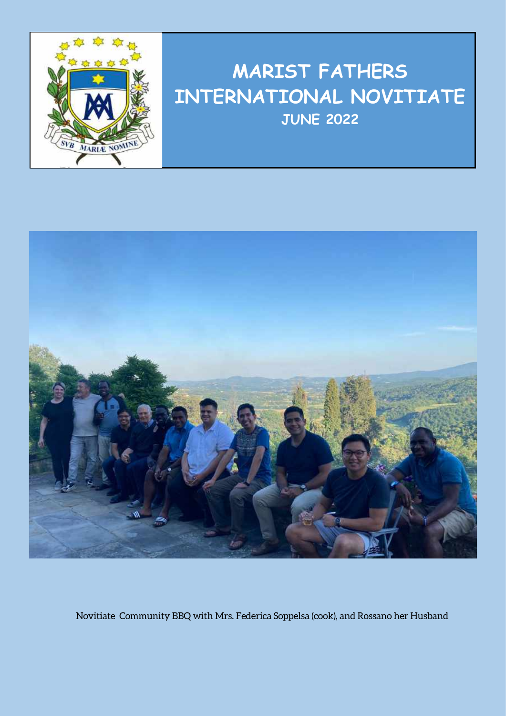

## **MARIST FATHERS INTERNATIONAL NOVITIATE JUNE 2022**



Novitiate Community BBQ with Mrs. Federica Soppelsa (cook), and Rossano her Husband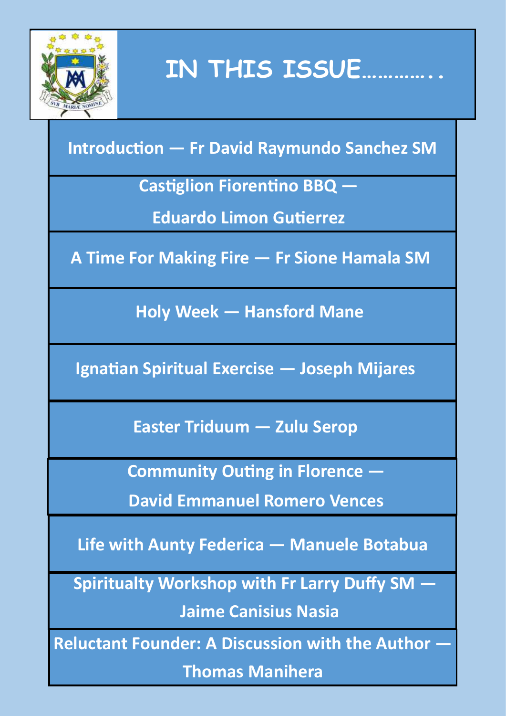

**IN THIS ISSUE…………..**

### **Introduction — Fr David Raymundo Sanchez SM**

**Castiglion Fiorentino BBQ —**

**Eduardo Limon Gutierrez**

**A Time For Making Fire — Fr Sione Hamala SM**

**Holy Week — Hansford Mane** 

**Ignatian Spiritual Exercise — Joseph Mijares**

**Easter Triduum — Zulu Serop**

**Community Outing in Florence —**

**David Emmanuel Romero Vences**

**Life with Aunty Federica — Manuele Botabua**

**Spiritualty Workshop with Fr Larry Duffy SM —**

**Jaime Canisius Nasia**

**Reluctant Founder: A Discussion with the Author —**

**Thomas Manihera**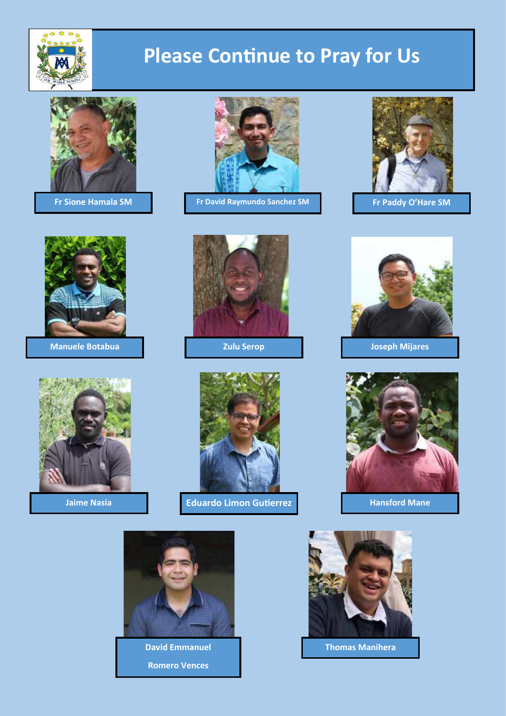

# **Please Continue to Pray for Us**





**Manuele Botabua Zulu Serop Joseph Mijares**





**Fr Sione Hamala SM Fr David Raymundo Sanchez SM Fr Paddy O'Hare SM**













**Romero Vences**



**David Emmanuel Thomas Manihera**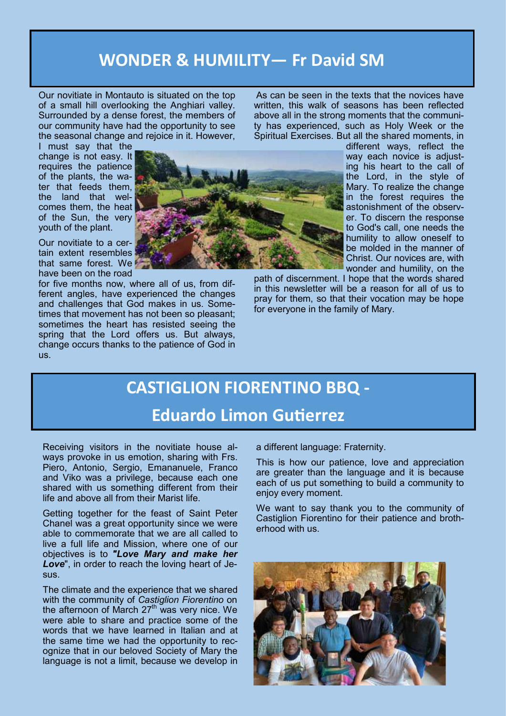#### **WONDER & HUMILITY— Fr David SM**

Our novitiate in Montauto is situated on the top of a small hill overlooking the Anghiari valley. Surrounded by a dense forest, the members of our community have had the opportunity to see the seasonal change and rejoice in it. However,

I must say that the change is not easy. It requires the patience of the plants, the water that feeds them, the land that welcomes them, the heat of the Sun, the very youth of the plant.

Our novitiate to a certain extent resembles that same forest. We have been on the road

for five months now, where all of us, from different angles, have experienced the changes and challenges that God makes in us. Sometimes that movement has not been so pleasant; sometimes the heart has resisted seeing the spring that the Lord offers us. But always, change occurs thanks to the patience of God in us.

As can be seen in the texts that the novices have written, this walk of seasons has been reflected above all in the strong moments that the community has experienced, such as Holy Week or the Spiritual Exercises. But all the shared moments, in



different ways, reflect the way each novice is adjusting his heart to the call of the Lord, in the style of Mary. To realize the change in the forest requires the astonishment of the observer. To discern the response to God's call, one needs the humility to allow oneself to be molded in the manner of Christ. Our novices are, with wonder and humility, on the

path of discernment. I hope that the words shared in this newsletter will be a reason for all of us to pray for them, so that their vocation may be hope for everyone in the family of Mary.

# **CASTIGLION FIORENTINO BBQ -**

**Eduardo Limon Gutierrez**

Receiving visitors in the novitiate house always provoke in us emotion, sharing with Frs. Piero, Antonio, Sergio, Emananuele, Franco and Viko was a privilege, because each one shared with us something different from their life and above all from their Marist life.

Getting together for the feast of Saint Peter Chanel was a great opportunity since we were able to commemorate that we are all called to live a full life and Mission, where one of our objectives is to *"Love Mary and make her Love*", in order to reach the loving heart of Jesus.

The climate and the experience that we shared with the community of *Castiglion Fiorentino* on the afternoon of March 27<sup>th</sup> was very nice. We were able to share and practice some of the words that we have learned in Italian and at the same time we had the opportunity to recognize that in our beloved Society of Mary the language is not a limit, because we develop in

a different language: Fraternity.

This is how our patience, love and appreciation are greater than the language and it is because each of us put something to build a community to enjoy every moment.

We want to say thank you to the community of Castiglion Fiorentino for their patience and brotherhood with us.

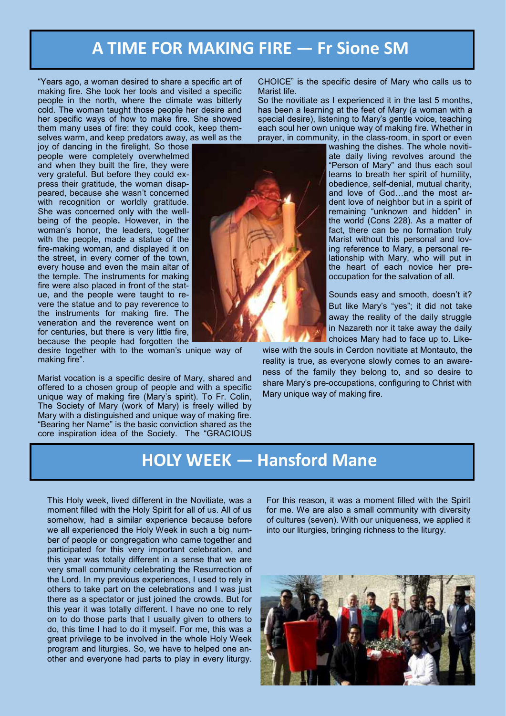#### **A TIME FOR MAKING FIRE — Fr Sione SM**

"Years ago, a woman desired to share a specific art of making fire. She took her tools and visited a specific people in the north, where the climate was bitterly cold. The woman taught those people her desire and her specific ways of how to make fire. She showed them many uses of fire: they could cook, keep themselves warm, and keep predators away, as well as the

joy of dancing in the firelight. So those people were completely overwhelmed and when they built the fire, they were very grateful. But before they could express their gratitude, the woman disappeared, because she wasn't concerned with recognition or worldly gratitude. She was concerned only with the wellbeing of the people**.** However, in the woman's honor, the leaders, together with the people, made a statue of the fire-making woman, and displayed it on the street, in every corner of the town, every house and even the main altar of the temple. The instruments for making fire were also placed in front of the statue, and the people were taught to revere the statue and to pay reverence to the instruments for making fire. The veneration and the reverence went on for centuries, but there is very little fire, because the people had forgotten the

desire together with to the woman's unique way of making fire".

Marist vocation is a specific desire of Mary, shared and offered to a chosen group of people and with a specific unique way of making fire (Mary's spirit). To Fr. Colin, The Society of Mary (work of Mary) is freely willed by Mary with a distinguished and unique way of making fire. "Bearing her Name" is the basic conviction shared as the core inspiration idea of the Society. The "GRACIOUS

CHOICE" is the specific desire of Mary who calls us to Marist life.

So the novitiate as I experienced it in the last 5 months. has been a learning at the feet of Mary (a woman with a special desire), listening to Mary's gentle voice, teaching each soul her own unique way of making fire. Whether in prayer, in community, in the class-room, in sport or even

washing the dishes. The whole novitiate daily living revolves around the "Person of Mary" and thus each soul learns to breath her spirit of humility, obedience, self-denial, mutual charity, and love of God…and the most ardent love of neighbor but in a spirit of remaining "unknown and hidden" in the world (Cons 228). As a matter of fact, there can be no formation truly Marist without this personal and loving reference to Mary, a personal relationship with Mary, who will put in the heart of each novice her preoccupation for the salvation of all.

Sounds easy and smooth, doesn't it? But like Mary's "yes"; it did not take away the reality of the daily struggle in Nazareth nor it take away the daily choices Mary had to face up to. Like-

wise with the souls in Cerdon novitiate at Montauto, the reality is true, as everyone slowly comes to an awareness of the family they belong to, and so desire to share Mary's pre-occupations, configuring to Christ with Mary unique way of making fire.

#### **HOLY WEEK — Hansford Mane**

This Holy week, lived different in the Novitiate, was a moment filled with the Holy Spirit for all of us. All of us somehow, had a similar experience because before we all experienced the Holy Week in such a big number of people or congregation who came together and participated for this very important celebration, and this year was totally different in a sense that we are very small community celebrating the Resurrection of the Lord. In my previous experiences, I used to rely in others to take part on the celebrations and I was just there as a spectator or just joined the crowds. But for this year it was totally different. I have no one to rely on to do those parts that I usually given to others to do, this time I had to do it myself. For me, this was a great privilege to be involved in the whole Holy Week program and liturgies. So, we have to helped one another and everyone had parts to play in every liturgy. For this reason, it was a moment filled with the Spirit for me. We are also a small community with diversity of cultures (seven). With our uniqueness, we applied it into our liturgies, bringing richness to the liturgy.



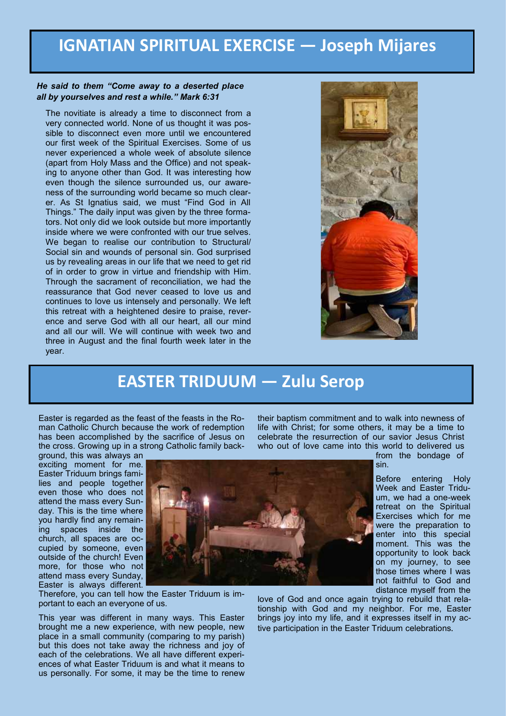#### **IGNATIAN SPIRITUAL EXERCISE — Joseph Mijares**

#### *He said to them "Come away to a deserted place all by yourselves and rest a while." Mark 6:31*

The novitiate is already a time to disconnect from a very connected world. None of us thought it was possible to disconnect even more until we encountered our first week of the Spiritual Exercises. Some of us never experienced a whole week of absolute silence (apart from Holy Mass and the Office) and not speaking to anyone other than God. It was interesting how even though the silence surrounded us, our awareness of the surrounding world became so much clearer. As St Ignatius said, we must "Find God in All Things." The daily input was given by the three formators. Not only did we look outside but more importantly inside where we were confronted with our true selves. We began to realise our contribution to Structural/ Social sin and wounds of personal sin. God surprised us by revealing areas in our life that we need to get rid of in order to grow in virtue and friendship with Him. Through the sacrament of reconciliation, we had the reassurance that God never ceased to love us and continues to love us intensely and personally. We left this retreat with a heightened desire to praise, reverence and serve God with all our heart, all our mind and all our will. We will continue with week two and three in August and the final fourth week later in the year.



#### **EASTER TRIDUUM — Zulu Serop**

Easter is regarded as the feast of the feasts in the Roman Catholic Church because the work of redemption has been accomplished by the sacrifice of Jesus on the cross. Growing up in a strong Catholic family back-

ground, this was always an exciting moment for me. Easter Triduum brings families and people together even those who does not attend the mass every Sunday. This is the time where you hardly find any remaining spaces inside the church, all spaces are occupied by someone, even outside of the church! Even more, for those who not attend mass every Sunday, Easter is always different.



Therefore, you can tell how the Easter Triduum is important to each an everyone of us.

This year was different in many ways. This Easter brought me a new experience, with new people, new place in a small community (comparing to my parish) but this does not take away the richness and joy of each of the celebrations. We all have different experiences of what Easter Triduum is and what it means to us personally. For some, it may be the time to renew

their baptism commitment and to walk into newness of life with Christ; for some others, it may be a time to celebrate the resurrection of our savior Jesus Christ who out of love came into this world to delivered us

from the bondage of sin.

Before entering Holy Week and Easter Triduum, we had a one-week retreat on the Spiritual Exercises which for me were the preparation to enter into this special moment. This was the opportunity to look back on my journey, to see those times where I was not faithful to God and distance myself from the

love of God and once again trying to rebuild that relationship with God and my neighbor. For me, Easter brings joy into my life, and it expresses itself in my active participation in the Easter Triduum celebrations.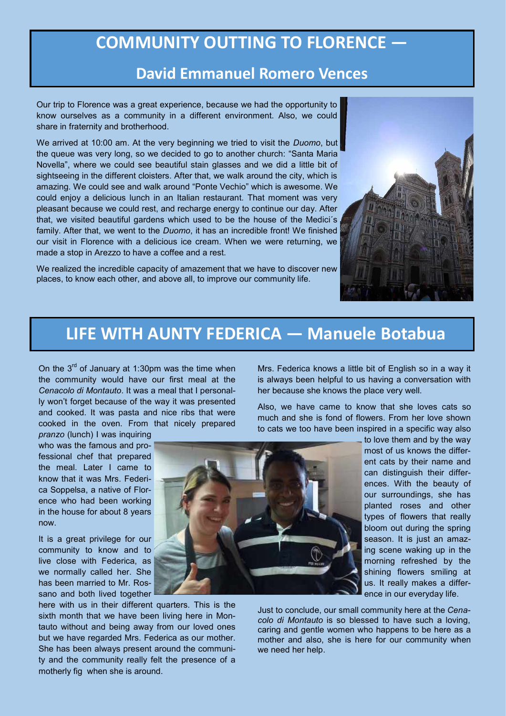#### **COMMUNITY OUTTING TO FLORENCE —**

#### **David Emmanuel Romero Vences**

Our trip to Florence was a great experience, because we had the opportunity to know ourselves as a community in a different environment. Also, we could share in fraternity and brotherhood.

We arrived at 10:00 am. At the very beginning we tried to visit the *Duomo*, but the queue was very long, so we decided to go to another church: "Santa Maria Novella", where we could see beautiful stain glasses and we did a little bit of sightseeing in the different cloisters. After that, we walk around the city, which is amazing. We could see and walk around "Ponte Vechio" which is awesome. We could enjoy a delicious lunch in an Italian restaurant. That moment was very pleasant because we could rest, and recharge energy to continue our day. After that, we visited beautiful gardens which used to be the house of the Medici´s family. After that, we went to the *Duomo*, it has an incredible front! We finished our visit in Florence with a delicious ice cream. When we were returning, we made a stop in Arezzo to have a coffee and a rest.

We realized the incredible capacity of amazement that we have to discover new places, to know each other, and above all, to improve our community life.



#### **LIFE WITH AUNTY FEDERICA — Manuele Botabua**

On the  $3<sup>rd</sup>$  of January at 1:30pm was the time when the community would have our first meal at the *Cenacolo di Montauto*. It was a meal that I personally won't forget because of the way it was presented and cooked. It was pasta and nice ribs that were cooked in the oven. From that nicely prepared

*pranzo* (lunch) I was inquiring who was the famous and professional chef that prepared the meal. Later I came to know that it was Mrs. Federica Soppelsa, a native of Florence who had been working in the house for about 8 years now.

It is a great privilege for our community to know and to live close with Federica, as we normally called her. She has been married to Mr. Rossano and both lived together

here with us in their different quarters. This is the sixth month that we have been living here in Montauto without and being away from our loved ones but we have regarded Mrs. Federica as our mother. She has been always present around the community and the community really felt the presence of a motherly fig when she is around.

Mrs. Federica knows a little bit of English so in a way it is always been helpful to us having a conversation with her because she knows the place very well.

Also, we have came to know that she loves cats so much and she is fond of flowers. From her love shown to cats we too have been inspired in a specific way also



to love them and by the way most of us knows the different cats by their name and can distinguish their differences. With the beauty of our surroundings, she has planted roses and other types of flowers that really bloom out during the spring season. It is just an amazing scene waking up in the morning refreshed by the shining flowers smiling at us. It really makes a difference in our everyday life.

Just to conclude, our small community here at the *Cenacolo di Montauto* is so blessed to have such a loving, caring and gentle women who happens to be here as a mother and also, she is here for our community when we need her help.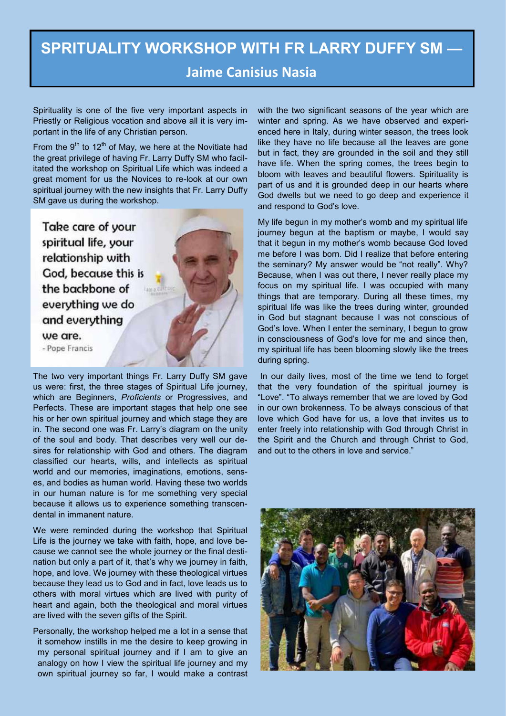#### **SPRITUALITY WORKSHOP WITH FR LARRY DUFFY SM — Jaime Canisius Nasia**

Spirituality is one of the five very important aspects in Priestly or Religious vocation and above all it is very important in the life of any Christian person.

From the  $9<sup>th</sup>$  to 12<sup>th</sup> of May, we here at the Novitiate had the great privilege of having Fr. Larry Duffy SM who facilitated the workshop on Spiritual Life which was indeed a great moment for us the Novices to re-look at our own spiritual journey with the new insights that Fr. Larry Duffy SM gave us during the workshop.

Take care of your spiritual life, your relationship with God, because this is the backbone of everything we do and everything we are. - Pope Francis

The two very important things Fr. Larry Duffy SM gave us were: first, the three stages of Spiritual Life journey, which are Beginners, *Proficients* or Progressives, and Perfects. These are important stages that help one see his or her own spiritual journey and which stage they are in. The second one was Fr. Larry's diagram on the unity of the soul and body. That describes very well our desires for relationship with God and others. The diagram classified our hearts, wills, and intellects as spiritual world and our memories, imaginations, emotions, senses, and bodies as human world. Having these two worlds in our human nature is for me something very special because it allows us to experience something transcendental in immanent nature.

We were reminded during the workshop that Spiritual Life is the journey we take with faith, hope, and love because we cannot see the whole journey or the final destination but only a part of it, that's why we journey in faith, hope, and love. We journey with these theological virtues because they lead us to God and in fact, love leads us to others with moral virtues which are lived with purity of heart and again, both the theological and moral virtues are lived with the seven gifts of the Spirit.

Personally, the workshop helped me a lot in a sense that it somehow instills in me the desire to keep growing in my personal spiritual journey and if I am to give an analogy on how I view the spiritual life journey and my own spiritual journey so far, I would make a contrast with the two significant seasons of the year which are winter and spring. As we have observed and experienced here in Italy, during winter season, the trees look like they have no life because all the leaves are gone but in fact, they are grounded in the soil and they still have life. When the spring comes, the trees begin to bloom with leaves and beautiful flowers. Spirituality is part of us and it is grounded deep in our hearts where God dwells but we need to go deep and experience it and respond to God's love.

 My life begun in my mother's womb and my spiritual life journey begun at the baptism or maybe, I would say that it begun in my mother's womb because God loved me before I was born. Did I realize that before entering the seminary? My answer would be "not really". Why? Because, when I was out there, I never really place my focus on my spiritual life. I was occupied with many things that are temporary. During all these times, my spiritual life was like the trees during winter, grounded in God but stagnant because I was not conscious of God's love. When I enter the seminary, I begun to grow in consciousness of God's love for me and since then, my spiritual life has been blooming slowly like the trees during spring.

 In our daily lives, most of the time we tend to forget that the very foundation of the spiritual journey is "Love". "To always remember that we are loved by God in our own brokenness. To be always conscious of that love which God have for us, a love that invites us to enter freely into relationship with God through Christ in the Spirit and the Church and through Christ to God, and out to the others in love and service."

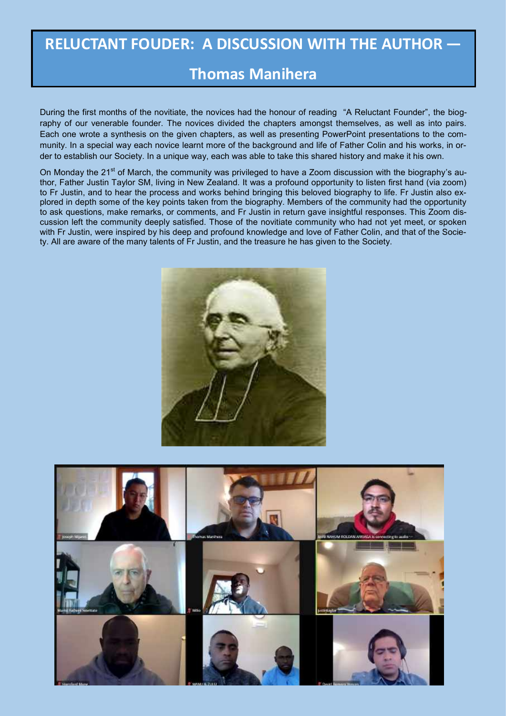# **RELUCTANT FOUDER: A DISCUSSION WITH THE AUTHOR —**

#### **Thomas Manihera**

During the first months of the novitiate, the novices had the honour of reading "A Reluctant Founder", the biography of our venerable founder. The novices divided the chapters amongst themselves, as well as into pairs. Each one wrote a synthesis on the given chapters, as well as presenting PowerPoint presentations to the community. In a special way each novice learnt more of the background and life of Father Colin and his works, in order to establish our Society. In a unique way, each was able to take this shared history and make it his own.

On Monday the 21<sup>st</sup> of March, the community was privileged to have a Zoom discussion with the biography's author, Father Justin Taylor SM, living in New Zealand. It was a profound opportunity to listen first hand (via zoom) to Fr Justin, and to hear the process and works behind bringing this beloved biography to life. Fr Justin also explored in depth some of the key points taken from the biography. Members of the community had the opportunity to ask questions, make remarks, or comments, and Fr Justin in return gave insightful responses. This Zoom discussion left the community deeply satisfied. Those of the novitiate community who had not yet meet, or spoken with Fr Justin, were inspired by his deep and profound knowledge and love of Father Colin, and that of the Society. All are aware of the many talents of Fr Justin, and the treasure he has given to the Society.